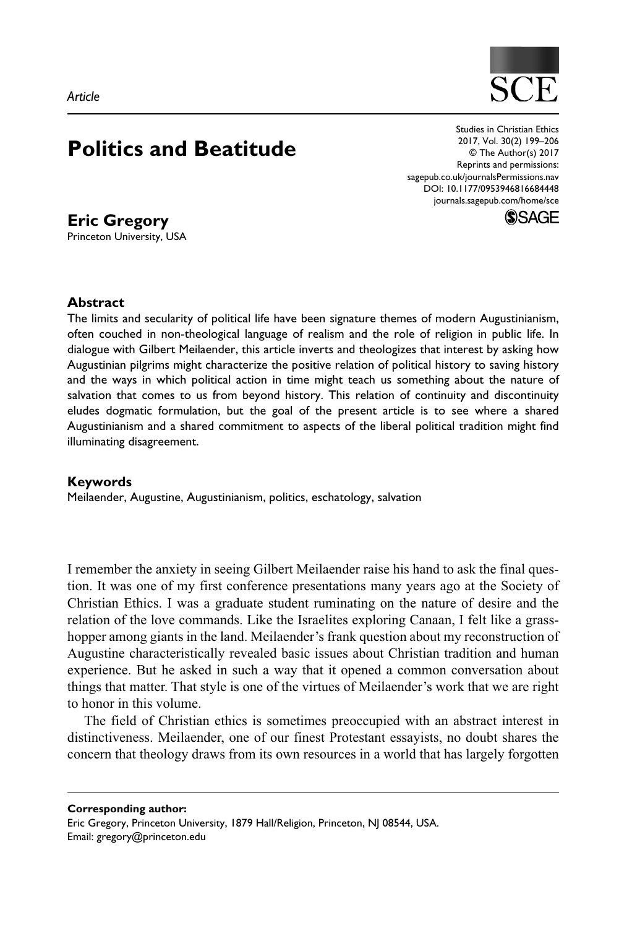

## **Politics and Beatitude**

Studies in Christian Ethics 2017, Vol. 30(2) 199–206 © The Author(s) 2017 Reprints and permissions: [sagepub.co.uk/journalsPermissions.nav](http://uk.sagepub.com/en-gb/eur/journals-permissions) [DOI: 10.1177/0953946816684448](http://doi.org/10.1177/0953946816684448) [journals.sagepub.com/home/sce](http://journals.sagepub.com/home/sce)



## **Eric Gregory**

Princeton University, USA

## **Abstract**

The limits and secularity of political life have been signature themes of modern Augustinianism, often couched in non-theological language of realism and the role of religion in public life. In dialogue with Gilbert Meilaender, this article inverts and theologizes that interest by asking how Augustinian pilgrims might characterize the positive relation of political history to saving history and the ways in which political action in time might teach us something about the nature of salvation that comes to us from beyond history. This relation of continuity and discontinuity eludes dogmatic formulation, but the goal of the present article is to see where a shared Augustinianism and a shared commitment to aspects of the liberal political tradition might find illuminating disagreement.

## **Keywords**

Meilaender, Augustine, Augustinianism, politics, eschatology, salvation

I remember the anxiety in seeing Gilbert Meilaender raise his hand to ask the final question. It was one of my first conference presentations many years ago at the Society of Christian Ethics. I was a graduate student ruminating on the nature of desire and the relation of the love commands. Like the Israelites exploring Canaan, I felt like a grasshopper among giants in the land. Meilaender's frank question about my reconstruction of Augustine characteristically revealed basic issues about Christian tradition and human experience. But he asked in such a way that it opened a common conversation about things that matter. That style is one of the virtues of Meilaender's work that we are right to honor in this volume.

The field of Christian ethics is sometimes preoccupied with an abstract interest in distinctiveness. Meilaender, one of our finest Protestant essayists, no doubt shares the concern that theology draws from its own resources in a world that has largely forgotten

**Corresponding author:** Eric Gregory, Princeton University, 1879 Hall/Religion, Princeton, NJ 08544, USA. Email: [gregory@princeton.edu](mailto:gregory@princeton.edu)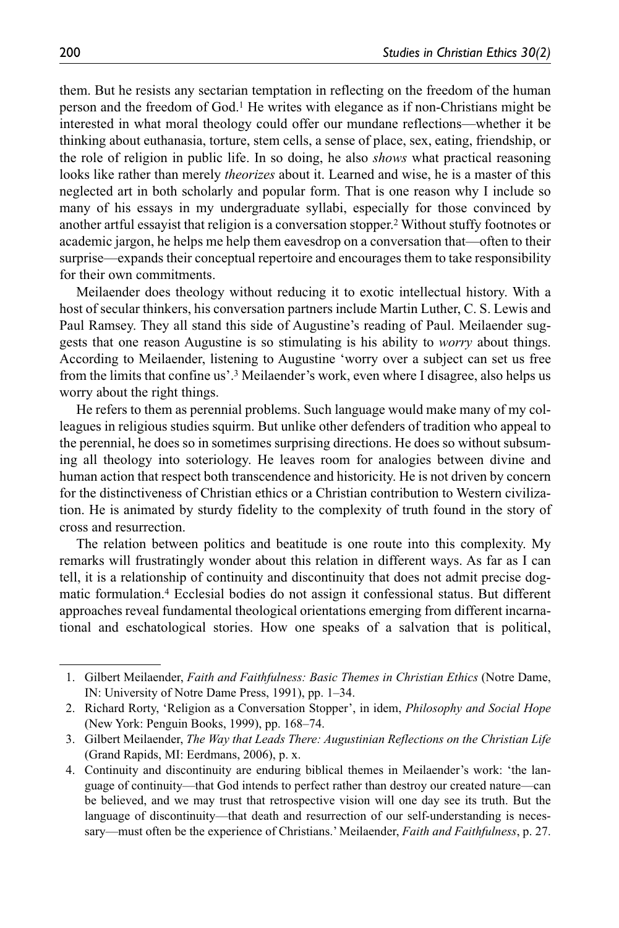them. But he resists any sectarian temptation in reflecting on the freedom of the human person and the freedom of God.1 He writes with elegance as if non-Christians might be interested in what moral theology could offer our mundane reflections—whether it be thinking about euthanasia, torture, stem cells, a sense of place, sex, eating, friendship, or the role of religion in public life. In so doing, he also *shows* what practical reasoning looks like rather than merely *theorizes* about it. Learned and wise, he is a master of this neglected art in both scholarly and popular form. That is one reason why I include so many of his essays in my undergraduate syllabi, especially for those convinced by another artful essayist that religion is a conversation stopper.2 Without stuffy footnotes or academic jargon, he helps me help them eavesdrop on a conversation that—often to their surprise—expands their conceptual repertoire and encourages them to take responsibility for their own commitments.

Meilaender does theology without reducing it to exotic intellectual history. With a host of secular thinkers, his conversation partners include Martin Luther, C. S. Lewis and Paul Ramsey. They all stand this side of Augustine's reading of Paul. Meilaender suggests that one reason Augustine is so stimulating is his ability to *worry* about things. According to Meilaender, listening to Augustine 'worry over a subject can set us free from the limits that confine us'.3 Meilaender's work, even where I disagree, also helps us worry about the right things.

He refers to them as perennial problems. Such language would make many of my colleagues in religious studies squirm. But unlike other defenders of tradition who appeal to the perennial, he does so in sometimes surprising directions. He does so without subsuming all theology into soteriology. He leaves room for analogies between divine and human action that respect both transcendence and historicity. He is not driven by concern for the distinctiveness of Christian ethics or a Christian contribution to Western civilization. He is animated by sturdy fidelity to the complexity of truth found in the story of cross and resurrection.

The relation between politics and beatitude is one route into this complexity. My remarks will frustratingly wonder about this relation in different ways. As far as I can tell, it is a relationship of continuity and discontinuity that does not admit precise dogmatic formulation.4 Ecclesial bodies do not assign it confessional status. But different approaches reveal fundamental theological orientations emerging from different incarnational and eschatological stories. How one speaks of a salvation that is political,

<sup>1.</sup> Gilbert Meilaender, *Faith and Faithfulness: Basic Themes in Christian Ethics* (Notre Dame, IN: University of Notre Dame Press, 1991), pp. 1–34.

<sup>2.</sup> Richard Rorty, 'Religion as a Conversation Stopper', in idem, *Philosophy and Social Hope* (New York: Penguin Books, 1999), pp. 168–74.

<sup>3.</sup> Gilbert Meilaender, *The Way that Leads There: Augustinian Reflections on the Christian Life* (Grand Rapids, MI: Eerdmans, 2006), p. x.

<sup>4.</sup> Continuity and discontinuity are enduring biblical themes in Meilaender's work: 'the language of continuity—that God intends to perfect rather than destroy our created nature—can be believed, and we may trust that retrospective vision will one day see its truth. But the language of discontinuity—that death and resurrection of our self-understanding is necessary—must often be the experience of Christians.' Meilaender, *Faith and Faithfulness*, p. 27.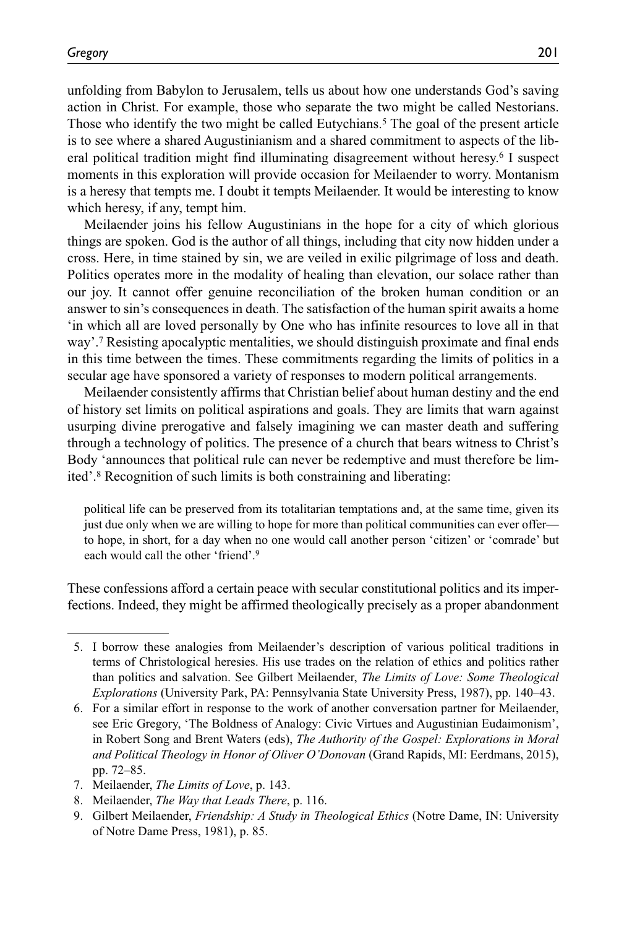unfolding from Babylon to Jerusalem, tells us about how one understands God's saving action in Christ. For example, those who separate the two might be called Nestorians. Those who identify the two might be called Eutychians.<sup>5</sup> The goal of the present article is to see where a shared Augustinianism and a shared commitment to aspects of the liberal political tradition might find illuminating disagreement without heresy.6 I suspect moments in this exploration will provide occasion for Meilaender to worry. Montanism is a heresy that tempts me. I doubt it tempts Meilaender. It would be interesting to know which heresy, if any, tempt him.

Meilaender joins his fellow Augustinians in the hope for a city of which glorious things are spoken. God is the author of all things, including that city now hidden under a cross. Here, in time stained by sin, we are veiled in exilic pilgrimage of loss and death. Politics operates more in the modality of healing than elevation, our solace rather than our joy. It cannot offer genuine reconciliation of the broken human condition or an answer to sin's consequences in death. The satisfaction of the human spirit awaits a home 'in which all are loved personally by One who has infinite resources to love all in that way'.<sup>7</sup> Resisting apocalyptic mentalities, we should distinguish proximate and final ends in this time between the times. These commitments regarding the limits of politics in a secular age have sponsored a variety of responses to modern political arrangements.

Meilaender consistently affirms that Christian belief about human destiny and the end of history set limits on political aspirations and goals. They are limits that warn against usurping divine prerogative and falsely imagining we can master death and suffering through a technology of politics. The presence of a church that bears witness to Christ's Body 'announces that political rule can never be redemptive and must therefore be limited'.8 Recognition of such limits is both constraining and liberating:

political life can be preserved from its totalitarian temptations and, at the same time, given its just due only when we are willing to hope for more than political communities can ever offer to hope, in short, for a day when no one would call another person 'citizen' or 'comrade' but each would call the other 'friend'.9

These confessions afford a certain peace with secular constitutional politics and its imperfections. Indeed, they might be affirmed theologically precisely as a proper abandonment

- 7. Meilaender, *The Limits of Love*, p. 143.
- 8. Meilaender, *The Way that Leads There*, p. 116.
- 9. Gilbert Meilaender, *Friendship: A Study in Theological Ethics* (Notre Dame, IN: University of Notre Dame Press, 1981), p. 85.

<sup>5.</sup> I borrow these analogies from Meilaender's description of various political traditions in terms of Christological heresies. His use trades on the relation of ethics and politics rather than politics and salvation. See Gilbert Meilaender, *The Limits of Love: Some Theological Explorations* (University Park, PA: Pennsylvania State University Press, 1987), pp. 140–43.

<sup>6.</sup> For a similar effort in response to the work of another conversation partner for Meilaender, see Eric Gregory, 'The Boldness of Analogy: Civic Virtues and Augustinian Eudaimonism', in Robert Song and Brent Waters (eds), *The Authority of the Gospel: Explorations in Moral and Political Theology in Honor of Oliver O'Donovan* (Grand Rapids, MI: Eerdmans, 2015), pp. 72–85.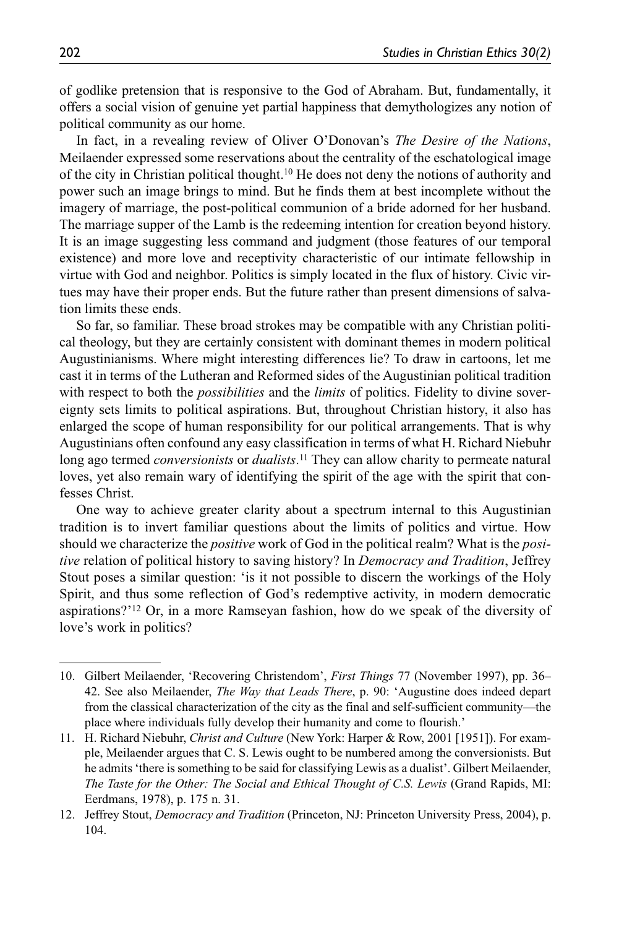of godlike pretension that is responsive to the God of Abraham. But, fundamentally, it offers a social vision of genuine yet partial happiness that demythologizes any notion of political community as our home.

In fact, in a revealing review of Oliver O'Donovan's *The Desire of the Nations*, Meilaender expressed some reservations about the centrality of the eschatological image of the city in Christian political thought.10 He does not deny the notions of authority and power such an image brings to mind. But he finds them at best incomplete without the imagery of marriage, the post-political communion of a bride adorned for her husband. The marriage supper of the Lamb is the redeeming intention for creation beyond history. It is an image suggesting less command and judgment (those features of our temporal existence) and more love and receptivity characteristic of our intimate fellowship in virtue with God and neighbor. Politics is simply located in the flux of history. Civic virtues may have their proper ends. But the future rather than present dimensions of salvation limits these ends.

So far, so familiar. These broad strokes may be compatible with any Christian political theology, but they are certainly consistent with dominant themes in modern political Augustinianisms. Where might interesting differences lie? To draw in cartoons, let me cast it in terms of the Lutheran and Reformed sides of the Augustinian political tradition with respect to both the *possibilities* and the *limits* of politics. Fidelity to divine sovereignty sets limits to political aspirations. But, throughout Christian history, it also has enlarged the scope of human responsibility for our political arrangements. That is why Augustinians often confound any easy classification in terms of what H. Richard Niebuhr long ago termed *conversionists* or *dualists*. 11 They can allow charity to permeate natural loves, yet also remain wary of identifying the spirit of the age with the spirit that confesses Christ.

One way to achieve greater clarity about a spectrum internal to this Augustinian tradition is to invert familiar questions about the limits of politics and virtue. How should we characterize the *positive* work of God in the political realm? What is the *positive* relation of political history to saving history? In *Democracy and Tradition*, Jeffrey Stout poses a similar question: 'is it not possible to discern the workings of the Holy Spirit, and thus some reflection of God's redemptive activity, in modern democratic aspirations?'12 Or, in a more Ramseyan fashion, how do we speak of the diversity of love's work in politics?

<sup>10.</sup> Gilbert Meilaender, 'Recovering Christendom', *First Things* 77 (November 1997), pp. 36– 42. See also Meilaender, *The Way that Leads There*, p. 90: 'Augustine does indeed depart from the classical characterization of the city as the final and self-sufficient community—the place where individuals fully develop their humanity and come to flourish.'

<sup>11.</sup> H. Richard Niebuhr, *Christ and Culture* (New York: Harper & Row, 2001 [1951]). For example, Meilaender argues that C. S. Lewis ought to be numbered among the conversionists. But he admits 'there is something to be said for classifying Lewis as a dualist'. Gilbert Meilaender, *The Taste for the Other: The Social and Ethical Thought of C.S. Lewis* (Grand Rapids, MI: Eerdmans, 1978), p. 175 n. 31.

<sup>12.</sup> Jeffrey Stout, *Democracy and Tradition* (Princeton, NJ: Princeton University Press, 2004), p. 104.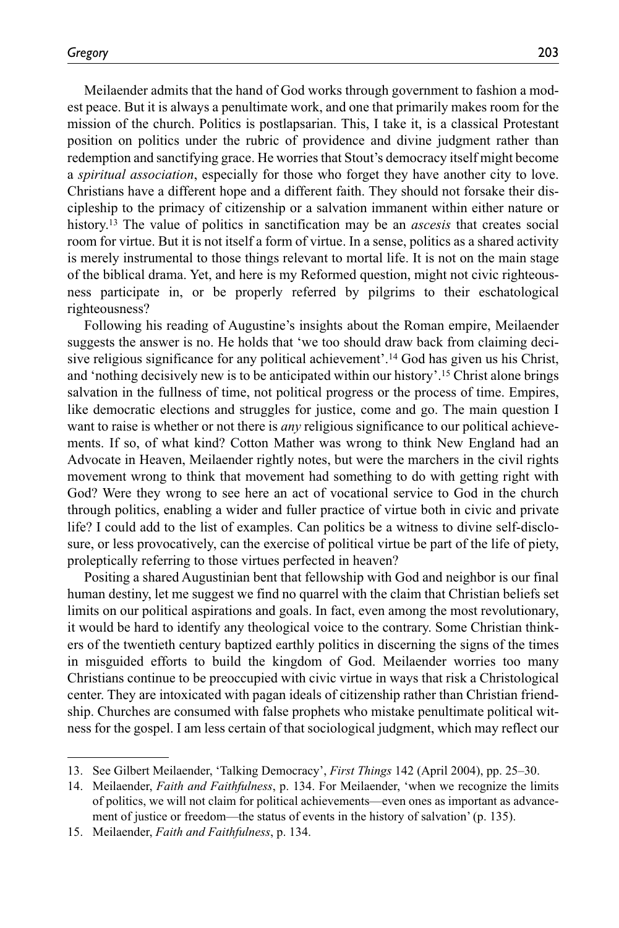Meilaender admits that the hand of God works through government to fashion a modest peace. But it is always a penultimate work, and one that primarily makes room for the mission of the church. Politics is postlapsarian. This, I take it, is a classical Protestant position on politics under the rubric of providence and divine judgment rather than redemption and sanctifying grace. He worries that Stout's democracy itself might become a *spiritual association*, especially for those who forget they have another city to love. Christians have a different hope and a different faith. They should not forsake their discipleship to the primacy of citizenship or a salvation immanent within either nature or history.13 The value of politics in sanctification may be an *ascesis* that creates social room for virtue. But it is not itself a form of virtue. In a sense, politics as a shared activity is merely instrumental to those things relevant to mortal life. It is not on the main stage of the biblical drama. Yet, and here is my Reformed question, might not civic righteousness participate in, or be properly referred by pilgrims to their eschatological righteousness?

Following his reading of Augustine's insights about the Roman empire, Meilaender suggests the answer is no. He holds that 'we too should draw back from claiming decisive religious significance for any political achievement'.14 God has given us his Christ, and 'nothing decisively new is to be anticipated within our history'.15 Christ alone brings salvation in the fullness of time, not political progress or the process of time. Empires, like democratic elections and struggles for justice, come and go. The main question I want to raise is whether or not there is *any* religious significance to our political achievements. If so, of what kind? Cotton Mather was wrong to think New England had an Advocate in Heaven, Meilaender rightly notes, but were the marchers in the civil rights movement wrong to think that movement had something to do with getting right with God? Were they wrong to see here an act of vocational service to God in the church through politics, enabling a wider and fuller practice of virtue both in civic and private life? I could add to the list of examples. Can politics be a witness to divine self-disclosure, or less provocatively, can the exercise of political virtue be part of the life of piety, proleptically referring to those virtues perfected in heaven?

Positing a shared Augustinian bent that fellowship with God and neighbor is our final human destiny, let me suggest we find no quarrel with the claim that Christian beliefs set limits on our political aspirations and goals. In fact, even among the most revolutionary, it would be hard to identify any theological voice to the contrary. Some Christian thinkers of the twentieth century baptized earthly politics in discerning the signs of the times in misguided efforts to build the kingdom of God. Meilaender worries too many Christians continue to be preoccupied with civic virtue in ways that risk a Christological center. They are intoxicated with pagan ideals of citizenship rather than Christian friendship. Churches are consumed with false prophets who mistake penultimate political witness for the gospel. I am less certain of that sociological judgment, which may reflect our

<sup>13.</sup> See Gilbert Meilaender, 'Talking Democracy', *First Things* 142 (April 2004), pp. 25–30.

<sup>14.</sup> Meilaender, *Faith and Faithfulness*, p. 134. For Meilaender, 'when we recognize the limits of politics, we will not claim for political achievements—even ones as important as advancement of justice or freedom—the status of events in the history of salvation' (p. 135).

<sup>15.</sup> Meilaender, *Faith and Faithfulness*, p. 134.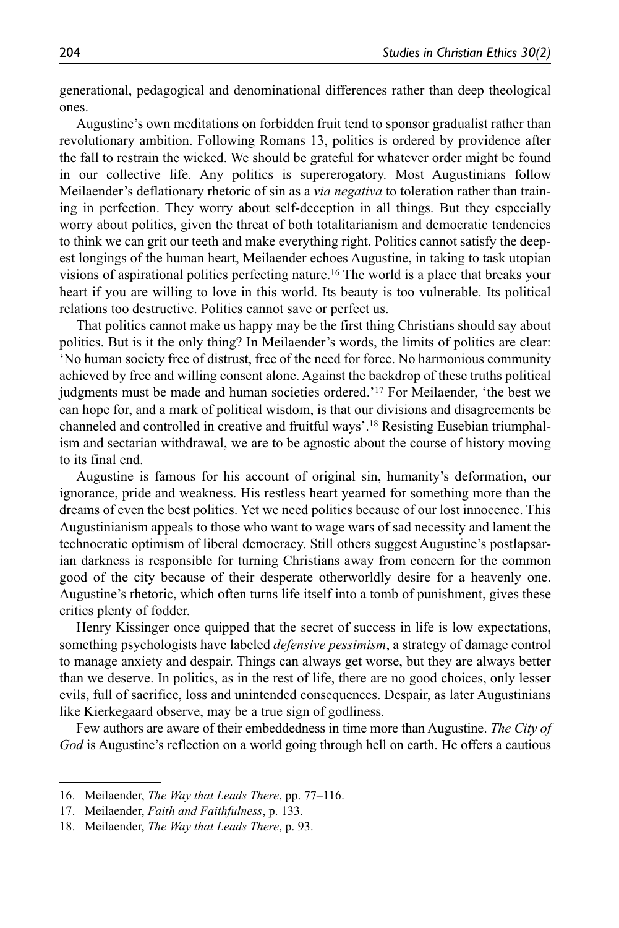generational, pedagogical and denominational differences rather than deep theological ones.

Augustine's own meditations on forbidden fruit tend to sponsor gradualist rather than revolutionary ambition. Following Romans 13, politics is ordered by providence after the fall to restrain the wicked. We should be grateful for whatever order might be found in our collective life. Any politics is supererogatory. Most Augustinians follow Meilaender's deflationary rhetoric of sin as a *via negativa* to toleration rather than training in perfection. They worry about self-deception in all things. But they especially worry about politics, given the threat of both totalitarianism and democratic tendencies to think we can grit our teeth and make everything right. Politics cannot satisfy the deepest longings of the human heart, Meilaender echoes Augustine, in taking to task utopian visions of aspirational politics perfecting nature.16 The world is a place that breaks your heart if you are willing to love in this world. Its beauty is too vulnerable. Its political relations too destructive. Politics cannot save or perfect us.

That politics cannot make us happy may be the first thing Christians should say about politics. But is it the only thing? In Meilaender's words, the limits of politics are clear: 'No human society free of distrust, free of the need for force. No harmonious community achieved by free and willing consent alone. Against the backdrop of these truths political judgments must be made and human societies ordered.'17 For Meilaender, 'the best we can hope for, and a mark of political wisdom, is that our divisions and disagreements be channeled and controlled in creative and fruitful ways'.18 Resisting Eusebian triumphalism and sectarian withdrawal, we are to be agnostic about the course of history moving to its final end.

Augustine is famous for his account of original sin, humanity's deformation, our ignorance, pride and weakness. His restless heart yearned for something more than the dreams of even the best politics. Yet we need politics because of our lost innocence. This Augustinianism appeals to those who want to wage wars of sad necessity and lament the technocratic optimism of liberal democracy. Still others suggest Augustine's postlapsarian darkness is responsible for turning Christians away from concern for the common good of the city because of their desperate otherworldly desire for a heavenly one. Augustine's rhetoric, which often turns life itself into a tomb of punishment, gives these critics plenty of fodder.

Henry Kissinger once quipped that the secret of success in life is low expectations, something psychologists have labeled *defensive pessimism*, a strategy of damage control to manage anxiety and despair. Things can always get worse, but they are always better than we deserve. In politics, as in the rest of life, there are no good choices, only lesser evils, full of sacrifice, loss and unintended consequences. Despair, as later Augustinians like Kierkegaard observe, may be a true sign of godliness.

Few authors are aware of their embeddedness in time more than Augustine. *The City of God* is Augustine's reflection on a world going through hell on earth. He offers a cautious

<sup>16.</sup> Meilaender, *The Way that Leads There*, pp. 77–116.

<sup>17.</sup> Meilaender, *Faith and Faithfulness*, p. 133.

<sup>18.</sup> Meilaender, *The Way that Leads There*, p. 93.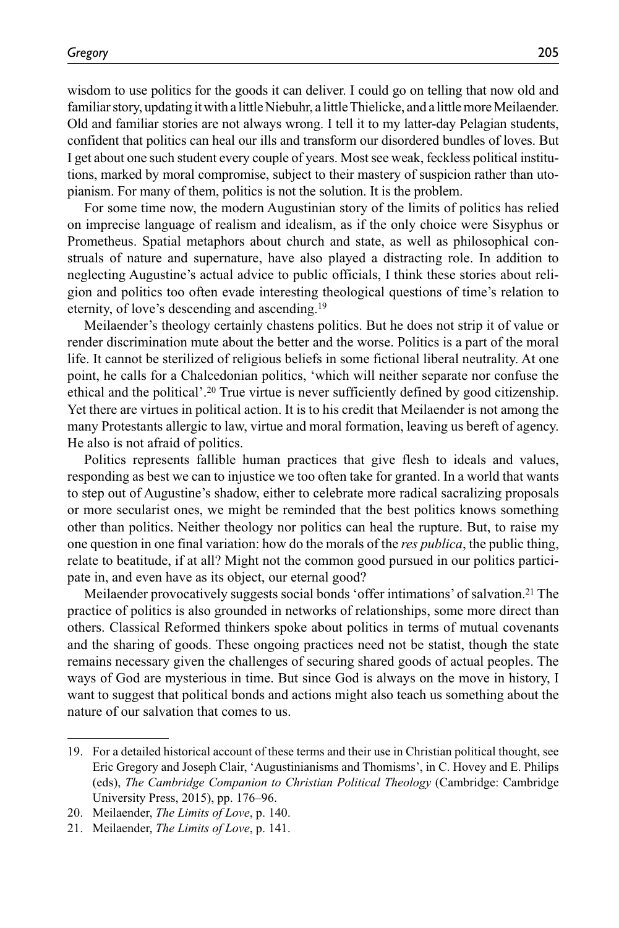wisdom to use politics for the goods it can deliver. I could go on telling that now old and familiar story, updating it with a little Niebuhr, a little Thielicke, and a little more Meilaender. Old and familiar stories are not always wrong. I tell it to my latter-day Pelagian students, confident that politics can heal our ills and transform our disordered bundles of loves. But I get about one such student every couple of years. Most see weak, feckless political institutions, marked by moral compromise, subject to their mastery of suspicion rather than utopianism. For many of them, politics is not the solution. It is the problem.

For some time now, the modern Augustinian story of the limits of politics has relied on imprecise language of realism and idealism, as if the only choice were Sisyphus or Prometheus. Spatial metaphors about church and state, as well as philosophical construals of nature and supernature, have also played a distracting role. In addition to neglecting Augustine's actual advice to public officials, I think these stories about religion and politics too often evade interesting theological questions of time's relation to eternity, of love's descending and ascending.19

Meilaender's theology certainly chastens politics. But he does not strip it of value or render discrimination mute about the better and the worse. Politics is a part of the moral life. It cannot be sterilized of religious beliefs in some fictional liberal neutrality. At one point, he calls for a Chalcedonian politics, 'which will neither separate nor confuse the ethical and the political'.20 True virtue is never sufficiently defined by good citizenship. Yet there are virtues in political action. It is to his credit that Meilaender is not among the many Protestants allergic to law, virtue and moral formation, leaving us bereft of agency. He also is not afraid of politics.

Politics represents fallible human practices that give flesh to ideals and values, responding as best we can to injustice we too often take for granted. In a world that wants to step out of Augustine's shadow, either to celebrate more radical sacralizing proposals or more secularist ones, we might be reminded that the best politics knows something other than politics. Neither theology nor politics can heal the rupture. But, to raise my one question in one final variation: how do the morals of the *res publica*, the public thing, relate to beatitude, if at all? Might not the common good pursued in our politics participate in, and even have as its object, our eternal good?

Meilaender provocatively suggests social bonds 'offer intimations' of salvation.<sup>21</sup> The practice of politics is also grounded in networks of relationships, some more direct than others. Classical Reformed thinkers spoke about politics in terms of mutual covenants and the sharing of goods. These ongoing practices need not be statist, though the state remains necessary given the challenges of securing shared goods of actual peoples. The ways of God are mysterious in time. But since God is always on the move in history, I want to suggest that political bonds and actions might also teach us something about the nature of our salvation that comes to us.

<sup>19.</sup> For a detailed historical account of these terms and their use in Christian political thought, see Eric Gregory and Joseph Clair, 'Augustinianisms and Thomisms', in C. Hovey and E. Philips (eds), *The Cambridge Companion to Christian Political Theology* (Cambridge: Cambridge University Press, 2015), pp. 176–96.

<sup>20.</sup> Meilaender, *The Limits of Love*, p. 140.

<sup>21.</sup> Meilaender, *The Limits of Love*, p. 141.